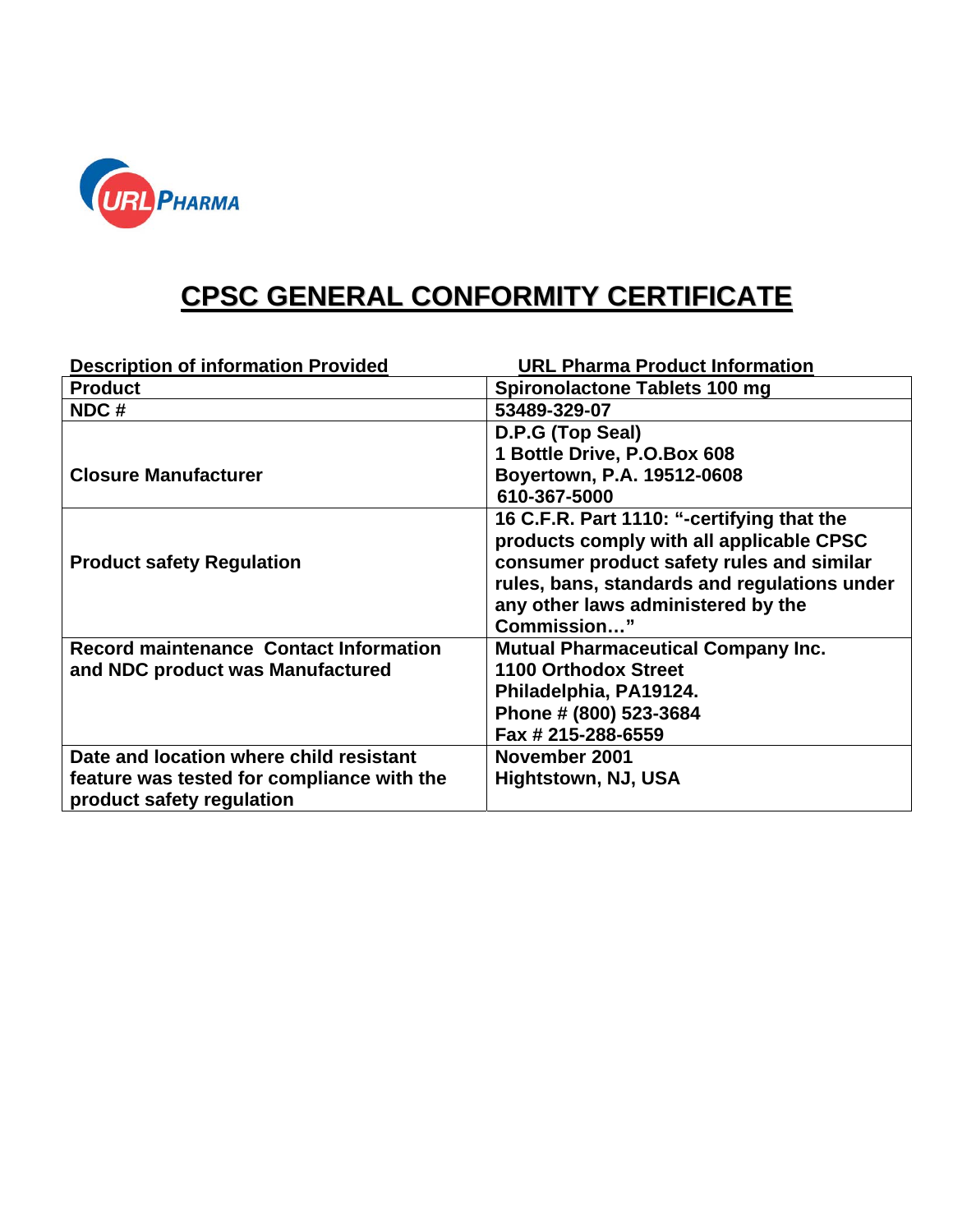

## **CPSC GENERAL CONFORMITY CERTIFICATE**

| <b>Description of information Provided</b>    | <b>URL Pharma Product Information</b>        |
|-----------------------------------------------|----------------------------------------------|
| <b>Product</b>                                | Spironolactone Tablets 100 mg                |
| NDC#                                          | 53489-329-07                                 |
|                                               | D.P.G (Top Seal)                             |
|                                               | 1 Bottle Drive, P.O.Box 608                  |
| <b>Closure Manufacturer</b>                   | Boyertown, P.A. 19512-0608                   |
|                                               | 610-367-5000                                 |
|                                               | 16 C.F.R. Part 1110: "-certifying that the   |
|                                               | products comply with all applicable CPSC     |
| <b>Product safety Regulation</b>              | consumer product safety rules and similar    |
|                                               | rules, bans, standards and regulations under |
|                                               | any other laws administered by the           |
|                                               | Commission"                                  |
| <b>Record maintenance Contact Information</b> | <b>Mutual Pharmaceutical Company Inc.</b>    |
| and NDC product was Manufactured              | <b>1100 Orthodox Street</b>                  |
|                                               | Philadelphia, PA19124.                       |
|                                               | Phone # (800) 523-3684                       |
|                                               | Fax # 215-288-6559                           |
| Date and location where child resistant       | November 2001                                |
| feature was tested for compliance with the    | Hightstown, NJ, USA                          |
| product safety regulation                     |                                              |